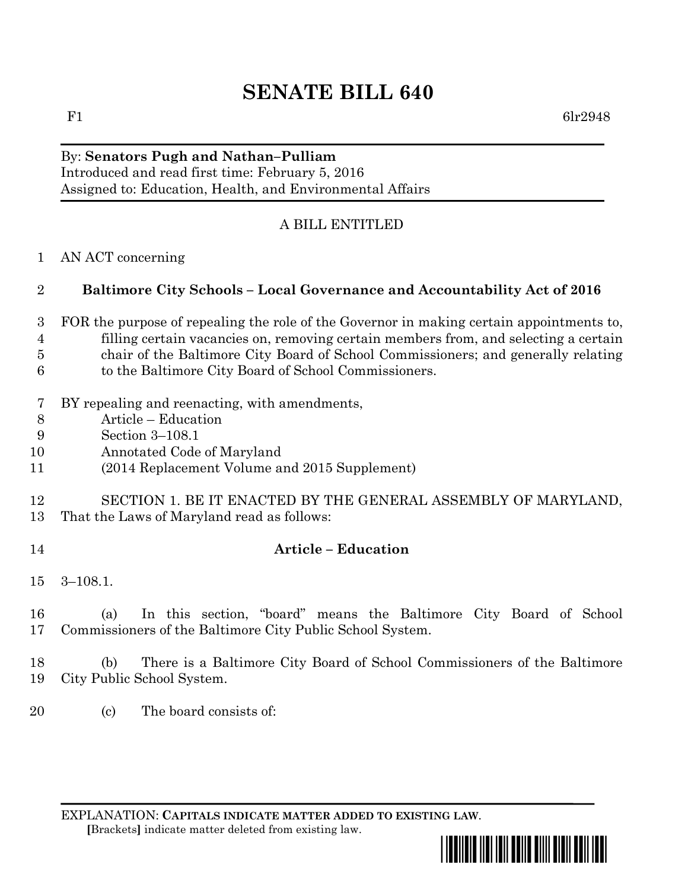# **SENATE BILL 640**

### By: **Senators Pugh and Nathan–Pulliam** Introduced and read first time: February 5, 2016 Assigned to: Education, Health, and Environmental Affairs

# A BILL ENTITLED

AN ACT concerning

## **Baltimore City Schools – Local Governance and Accountability Act of 2016**

- FOR the purpose of repealing the role of the Governor in making certain appointments to, filling certain vacancies on, removing certain members from, and selecting a certain chair of the Baltimore City Board of School Commissioners; and generally relating to the Baltimore City Board of School Commissioners.
- BY repealing and reenacting, with amendments,
- Article Education
- Section 3–108.1
- Annotated Code of Maryland
- (2014 Replacement Volume and 2015 Supplement)

### SECTION 1. BE IT ENACTED BY THE GENERAL ASSEMBLY OF MARYLAND, That the Laws of Maryland read as follows:

## **Article – Education**

3–108.1.

 (a) In this section, "board" means the Baltimore City Board of School Commissioners of the Baltimore City Public School System.

 (b) There is a Baltimore City Board of School Commissioners of the Baltimore City Public School System.

20 (c) The board consists of:

EXPLANATION: **CAPITALS INDICATE MATTER ADDED TO EXISTING LAW**.  **[**Brackets**]** indicate matter deleted from existing law.

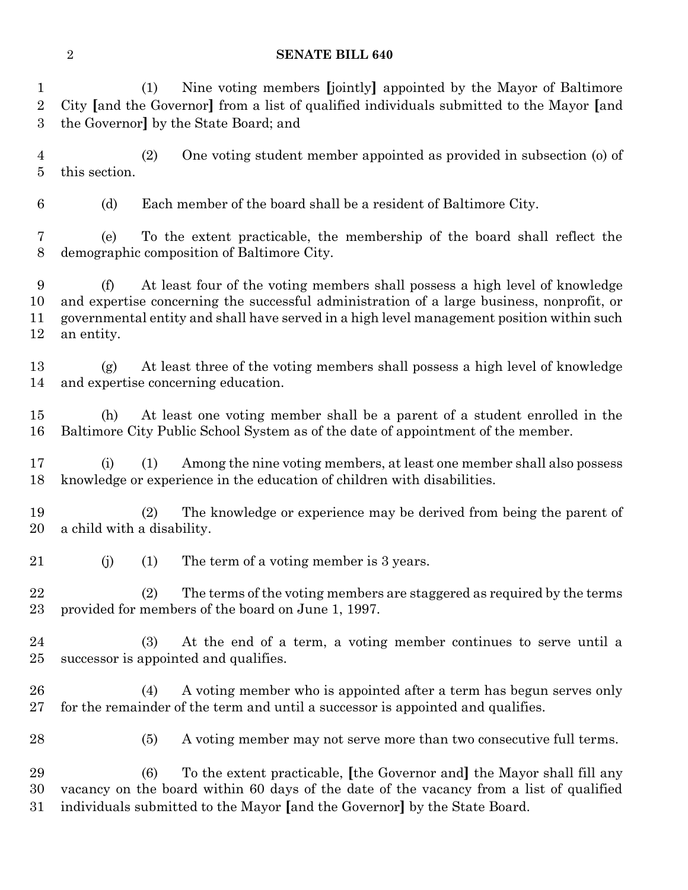#### **SENATE BILL 640**

 (1) Nine voting members **[**jointly**]** appointed by the Mayor of Baltimore City **[**and the Governor**]** from a list of qualified individuals submitted to the Mayor **[**and the Governor**]** by the State Board; and

 (2) One voting student member appointed as provided in subsection (o) of this section.

(d) Each member of the board shall be a resident of Baltimore City.

 (e) To the extent practicable, the membership of the board shall reflect the demographic composition of Baltimore City.

 (f) At least four of the voting members shall possess a high level of knowledge and expertise concerning the successful administration of a large business, nonprofit, or governmental entity and shall have served in a high level management position within such an entity.

 (g) At least three of the voting members shall possess a high level of knowledge and expertise concerning education.

 (h) At least one voting member shall be a parent of a student enrolled in the Baltimore City Public School System as of the date of appointment of the member.

 (i) (1) Among the nine voting members, at least one member shall also possess knowledge or experience in the education of children with disabilities.

 (2) The knowledge or experience may be derived from being the parent of a child with a disability.

21 (j) (1) The term of a voting member is 3 years.

 (2) The terms of the voting members are staggered as required by the terms provided for members of the board on June 1, 1997.

 (3) At the end of a term, a voting member continues to serve until a successor is appointed and qualifies.

 (4) A voting member who is appointed after a term has begun serves only for the remainder of the term and until a successor is appointed and qualifies.

(5) A voting member may not serve more than two consecutive full terms.

 (6) To the extent practicable, **[**the Governor and**]** the Mayor shall fill any vacancy on the board within 60 days of the date of the vacancy from a list of qualified individuals submitted to the Mayor **[**and the Governor**]** by the State Board.